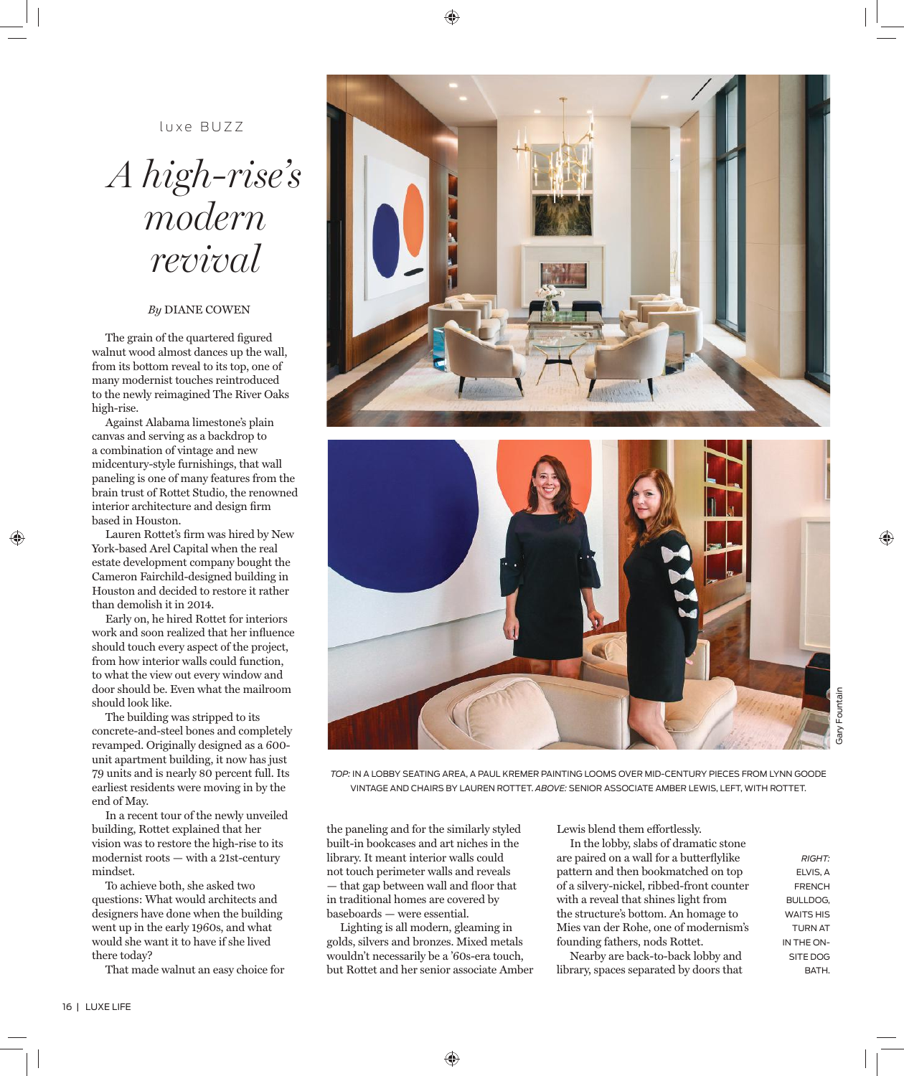16 | LUXE LIFE

luxe BUZZ

## *A high-rise's modern revival*

## *By* DIANE COWEN

The grain of the quartered figured walnut wood almost dances up the wall, from its bottom reveal to its top, one of many modernist touches reintroduced to the newly reimagined The River Oaks high-rise.

Against Alabama limestone's plain canvas and serving as a backdrop to a combination of vintage and new midcentury-style furnishings, that wall paneling is one of many features from the brain trust of Rottet Studio, the renowned interior architecture and design firm based in Houston.

Lauren Rottet's firm was hired by New York-based Arel Capital when the real estate development company bought the Cameron Fairchild-designed building in Houston and decided to restore it rather than demolish it in 2014.

Early on, he hired Rottet for interiors work and soon realized that her influence should touch every aspect of the project, from how interior walls could function, to what the view out every window and door should be. Even what the mailroom should look like.

The building was stripped to its concrete-and-steel bones and completely revamped. Originally designed as a 600 unit apartment building, it now has just 79 units and is nearly 80 percent full. Its earliest residents were moving in by the end of May.

In a recent tour of the newly unveiled building, Rottet explained that her vision was to restore the high-rise to its modernist roots — with a 21st-century mindset.

To achieve both, she asked two questions: What would architects and designers have done when the building went up in the early 1960s, and what would she want it to have if she lived there today?

That made walnut an easy choice for

the paneling and for the similarly styled built-in bookcases and art niches in the library. It meant interior walls could not touch perimeter walls and reveals Lewis blend them effortlessly. In the lobby, slabs of dramatic stone

— that gap between wall and floor that in traditional homes are covered by baseboards — were essential.

Lighting is all modern, gleaming in golds, silvers and bronzes. Mixed metals wouldn't necessarily be a '60s-era touch, but Rottet and her senior associate Amber are paired on a wall for a butterflylike pattern and then bookmatched on top of a silvery-nickel, ribbed-front counter with a reveal that shines light from the structure's bottom. An homage to Mies van der Rohe, one of modernism's founding fathers, nods Rottet.

Nearby are back-to-back lobby and library, spaces separated by doors that



Gary Fountain

Sary Fountair





*TOP:* IN A LOBBY SEATING AREA, A PAUL KREMER PAINTING LOOMS OVER MID-CENTURY PIECES FROM LYNN GOODE VINTAGE AND CHAIRS BY LAUREN ROTTET. *ABOVE:* SENIOR ASSOCIATE AMBER LEWIS, LEFT, WITH ROTTET.